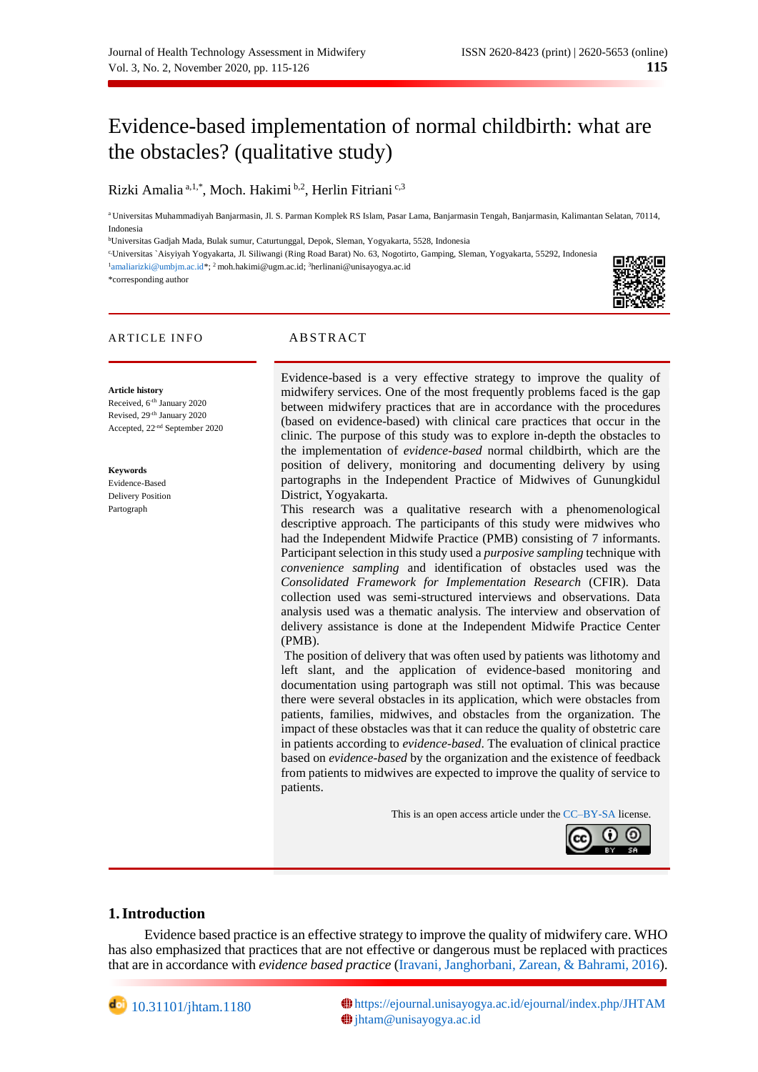# Evidence-based implementation of normal childbirth: what are the obstacles? (qualitative study)

Rizki Amalia<sup>a, 1,\*</sup>, Moch. Hakimi <sup>b,2</sup>, Herlin Fitriani<sup>c,3</sup>

<sup>a</sup> Universitas Muhammadiyah Banjarmasin, Jl. S. Parman Komplek RS Islam, Pasar Lama, Banjarmasin Tengah, Banjarmasin, Kalimantan Selatan, 70114, Indonesia

<sup>b</sup>Universitas Gadjah Mada, Bulak sumur, Caturtunggal, Depok, Sleman, Yogyakarta, 5528, Indonesia

c,Universitas `Aisyiyah Yogyakarta, Jl. Siliwangi (Ring Road Barat) No. 63, Nogotirto, Gamping, Sleman, Yogyakarta, 55292, Indonesia

<sup>1</sup>[amaliarizki@umbjm.ac.id\\*](mailto:amaliarizki@umbjm.ac.id); <sup>2</sup> moh.hakimi@ugm.ac.id; <sup>3</sup>[herlinani@unisayogya.ac.id](mailto:herlinani@unisayogya.ac.id)

\*corresponding author



## ARTICLE INFO ABSTRACT

#### **Article history**

Received, 6<sup>-th</sup> January 2020 Revised, 29-th January 2020 Accepted, 22-nd September 2020

**Keywords** Evidence-Based

Delivery Position Partograph

Evidence-based is a very effective strategy to improve the quality of midwifery services. One of the most frequently problems faced is the gap between midwifery practices that are in accordance with the procedures (based on evidence-based) with clinical care practices that occur in the clinic. The purpose of this study was to explore in-depth the obstacles to the implementation of *evidence-based* normal childbirth, which are the position of delivery, monitoring and documenting delivery by using partographs in the Independent Practice of Midwives of Gunungkidul District, Yogyakarta.

This research was a qualitative research with a phenomenological descriptive approach. The participants of this study were midwives who had the Independent Midwife Practice (PMB) consisting of 7 informants. Participant selection in this study used a *purposive sampling* technique with *convenience sampling* and identification of obstacles used was the *Consolidated Framework for Implementation Research* (CFIR). Data collection used was semi-structured interviews and observations. Data analysis used was a thematic analysis. The interview and observation of delivery assistance is done at the Independent Midwife Practice Center (PMB).

The position of delivery that was often used by patients was lithotomy and left slant, and the application of evidence-based monitoring and documentation using partograph was still not optimal. This was because there were several obstacles in its application, which were obstacles from patients, families, midwives, and obstacles from the organization. The impact of these obstacles was that it can reduce the quality of obstetric care in patients according to *evidence-based*. The evaluation of clinical practice based on *evidence-based* by the organization and the existence of feedback from patients to midwives are expected to improve the quality of service to patients.

This is an open access article under th[e CC–BY-SA](http://creativecommons.org/licenses/by-sa/4.0/) license.



## **1.Introduction**

Evidence based practice is an effective strategy to improve the quality of midwifery care. WHO has also emphasized that practices that are not effective or dangerous must be replaced with practices that are in accordance with *evidence based practice* [\(Iravani, Janghorbani, Zarean, & Bahrami, 2016\)](#page-10-0).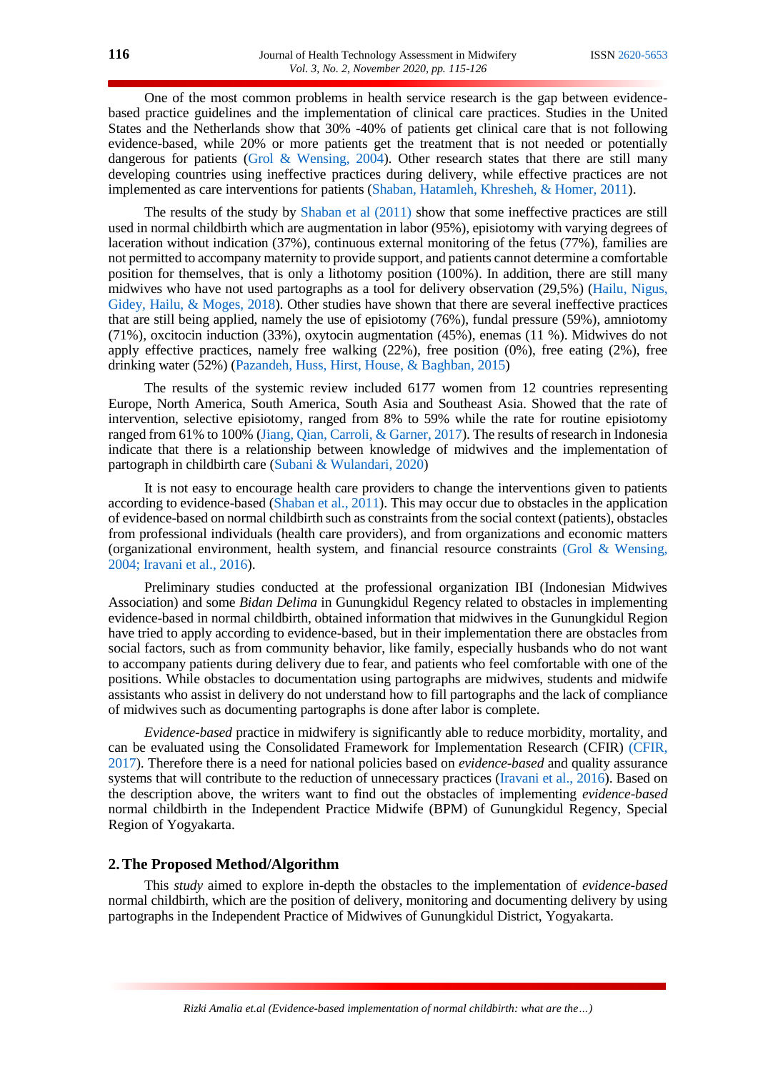One of the most common problems in health service research is the gap between evidencebased practice guidelines and the implementation of clinical care practices. Studies in the United States and the Netherlands show that 30% -40% of patients get clinical care that is not following evidence-based, while 20% or more patients get the treatment that is not needed or potentially dangerous for patients [\(Grol & Wensing, 2004\)](#page-10-1). Other research states that there are still many developing countries using ineffective practices during delivery, while effective practices are not implemented as care interventions for patients [\(Shaban, Hatamleh, Khresheh, & Homer, 2011\)](#page-11-0).

The results of the study by [Shaban et al \(2011\)](#page-11-0) show that some ineffective practices are still used in normal childbirth which are augmentation in labor (95%), episiotomy with varying degrees of laceration without indication (37%), continuous external monitoring of the fetus (77%), families are not permitted to accompany maternity to provide support, and patients cannot determine a comfortable position for themselves, that is only a lithotomy position (100%). In addition, there are still many midwives who have not used partographs as a tool for delivery observation (29,5%) [\(Hailu, Nigus,](#page-10-2)  [Gidey, Hailu, & Moges, 2018\)](#page-10-2). Other studies have shown that there are several ineffective practices that are still being applied, namely the use of episiotomy (76%), fundal pressure (59%), amniotomy (71%), oxcitocin induction (33%), oxytocin augmentation (45%), enemas (11 %). Midwives do not apply effective practices, namely free walking (22%), free position (0%), free eating (2%), free drinking water (52%) [\(Pazandeh, Huss, Hirst, House, & Baghban, 2015\)](#page-10-3)

The results of the systemic review included 6177 women from 12 countries representing Europe, North America, South America, South Asia and Southeast Asia. Showed that the rate of intervention, selective episiotomy, ranged from 8% to 59% while the rate for routine episiotomy ranged from 61% to 100% [\(Jiang, Qian, Carroli, & Garner, 2017\)](#page-10-4). The results of research in Indonesia indicate that there is a relationship between knowledge of midwives and the implementation of partograph in childbirth care [\(Subani & Wulandari, 2020\)](#page-11-1)

It is not easy to encourage health care providers to change the interventions given to patients according to evidence-based [\(Shaban et al., 2011\)](#page-11-0). This may occur due to obstacles in the application of evidence-based on normal childbirth such as constraints from the social context (patients), obstacles from professional individuals (health care providers), and from organizations and economic matters (organizational environment, health system, and financial resource constraints [\(Grol & Wensing,](#page-10-1)  [2004; Iravani et al., 2016\)](#page-10-1).

Preliminary studies conducted at the professional organization IBI (Indonesian Midwives Association) and some *Bidan Delima* in Gunungkidul Regency related to obstacles in implementing evidence-based in normal childbirth, obtained information that midwives in the Gunungkidul Region have tried to apply according to evidence-based, but in their implementation there are obstacles from social factors, such as from community behavior, like family, especially husbands who do not want to accompany patients during delivery due to fear, and patients who feel comfortable with one of the positions. While obstacles to documentation using partographs are midwives, students and midwife assistants who assist in delivery do not understand how to fill partographs and the lack of compliance of midwives such as documenting partographs is done after labor is complete.

*Evidence-based* practice in midwifery is significantly able to reduce morbidity, mortality, and can be evaluated using the Consolidated Framework for Implementation Research (CFIR) [\(CFIR,](#page-9-0)  [2017\)](#page-9-0). Therefore there is a need for national policies based on *evidence-based* and quality assurance systems that will contribute to the reduction of unnecessary practices [\(Iravani et al., 2016\)](#page-10-0). Based on the description above, the writers want to find out the obstacles of implementing *evidence-based* normal childbirth in the Independent Practice Midwife (BPM) of Gunungkidul Regency, Special Region of Yogyakarta.

## **2.The Proposed Method/Algorithm**

This *study* aimed to explore in-depth the obstacles to the implementation of *evidence-based*  normal childbirth, which are the position of delivery, monitoring and documenting delivery by using partographs in the Independent Practice of Midwives of Gunungkidul District, Yogyakarta.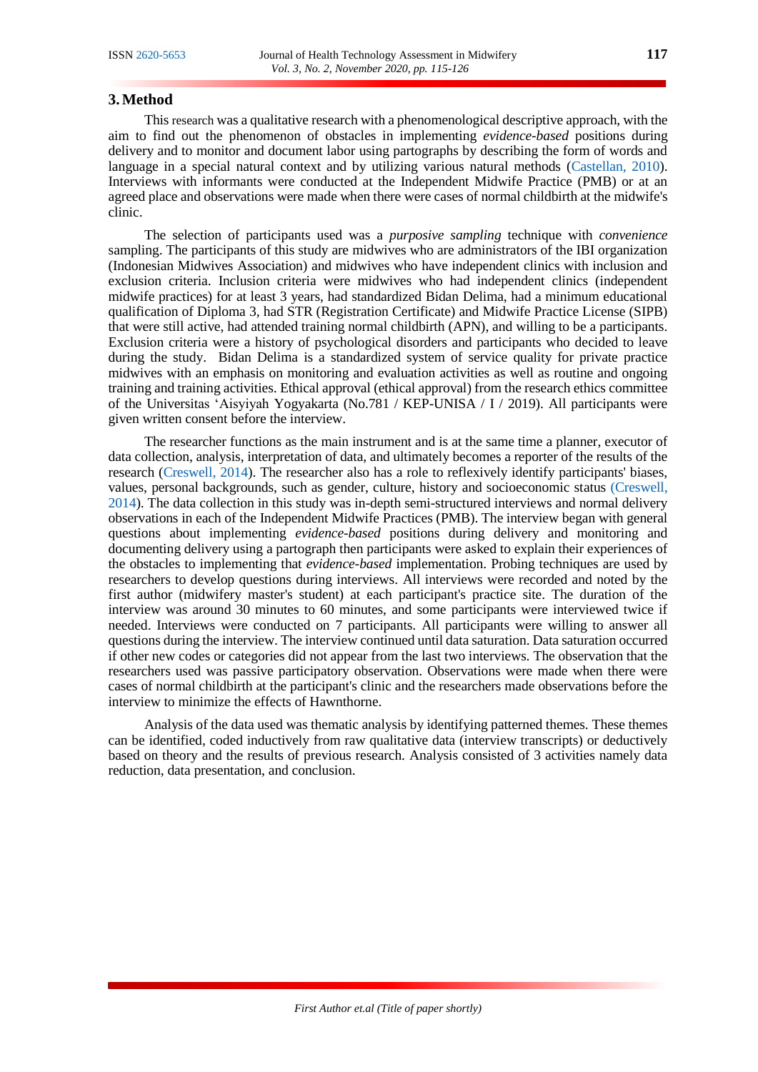## **3.Method**

This research was a qualitative research with a phenomenological descriptive approach, with the aim to find out the phenomenon of obstacles in implementing *evidence-based* positions during delivery and to monitor and document labor using partographs by describing the form of words and language in a special natural context and by utilizing various natural methods [\(Castellan, 2010\)](#page-9-1). Interviews with informants were conducted at the Independent Midwife Practice (PMB) or at an agreed place and observations were made when there were cases of normal childbirth at the midwife's clinic.

The selection of participants used was a *purposive sampling* technique with *convenience* sampling. The participants of this study are midwives who are administrators of the IBI organization (Indonesian Midwives Association) and midwives who have independent clinics with inclusion and exclusion criteria. Inclusion criteria were midwives who had independent clinics (independent midwife practices) for at least 3 years, had standardized Bidan Delima, had a minimum educational qualification of Diploma 3, had STR (Registration Certificate) and Midwife Practice License (SIPB) that were still active, had attended training normal childbirth (APN), and willing to be a participants. Exclusion criteria were a history of psychological disorders and participants who decided to leave during the study. Bidan Delima is a standardized system of service quality for private practice midwives with an emphasis on monitoring and evaluation activities as well as routine and ongoing training and training activities. Ethical approval (ethical approval) from the research ethics committee of the Universitas 'Aisyiyah Yogyakarta (No.781 / KEP-UNISA / I / 2019). All participants were given written consent before the interview.

The researcher functions as the main instrument and is at the same time a planner, executor of data collection, analysis, interpretation of data, and ultimately becomes a reporter of the results of the research [\(Creswell, 2014\)](#page-10-5). The researcher also has a role to reflexively identify participants' biases, values, personal backgrounds, such as gender, culture, history and socioeconomic status [\(Creswell,](#page-10-5)  [2014\)](#page-10-5). The data collection in this study was in-depth semi-structured interviews and normal delivery observations in each of the Independent Midwife Practices (PMB). The interview began with general questions about implementing *evidence-based* positions during delivery and monitoring and documenting delivery using a partograph then participants were asked to explain their experiences of the obstacles to implementing that *evidence-based* implementation. Probing techniques are used by researchers to develop questions during interviews. All interviews were recorded and noted by the first author (midwifery master's student) at each participant's practice site. The duration of the interview was around 30 minutes to 60 minutes, and some participants were interviewed twice if needed. Interviews were conducted on 7 participants. All participants were willing to answer all questions during the interview. The interview continued until data saturation. Data saturation occurred if other new codes or categories did not appear from the last two interviews. The observation that the researchers used was passive participatory observation. Observations were made when there were cases of normal childbirth at the participant's clinic and the researchers made observations before the interview to minimize the effects of Hawnthorne.

Analysis of the data used was thematic analysis by identifying patterned themes. These themes can be identified, coded inductively from raw qualitative data (interview transcripts) or deductively based on theory and the results of previous research. Analysis consisted of 3 activities namely data reduction, data presentation, and conclusion.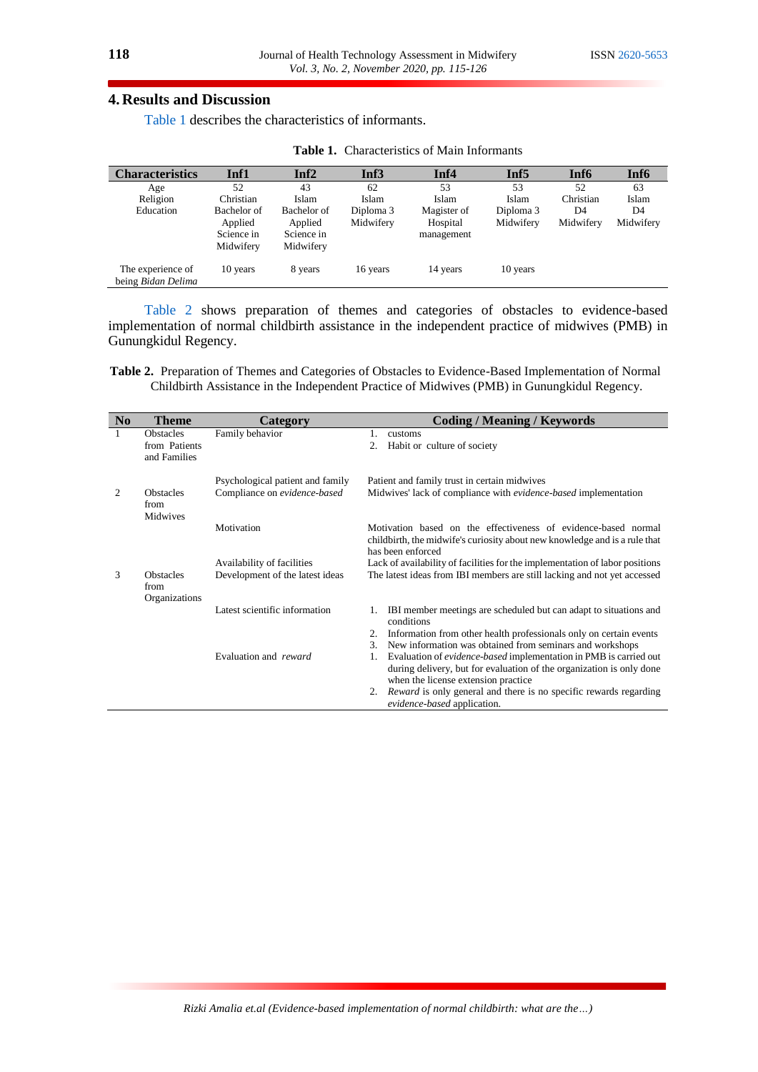## **4. Results and Discussion**

[Table 1](#page-3-0) describes the characteristics of informants.

<span id="page-3-0"></span>

| <b>Characteristics</b>                  | Inf1        | Inf <sub>2</sub> | Inf3      | Inf4        | Inf <sub>5</sub> | Inf <sub>6</sub> | Inf <sub>6</sub> |
|-----------------------------------------|-------------|------------------|-----------|-------------|------------------|------------------|------------------|
| Age                                     | 52          | 43               | 62        | 53          | 53               | 52               | 63               |
| Religion                                | Christian   | Islam            | Islam     | Islam       | Islam            | Christian        | Islam            |
| Education                               | Bachelor of | Bachelor of      | Diploma 3 | Magister of | Diploma 3        | D4               | D <sub>4</sub>   |
|                                         | Applied     | Applied          | Midwifery | Hospital    | Midwifery        | Midwifery        | Midwifery        |
|                                         | Science in  | Science in       |           | management  |                  |                  |                  |
|                                         | Midwifery   | Midwifery        |           |             |                  |                  |                  |
| The experience of<br>being Bidan Delima | 10 years    | 8 years          | 16 years  | 14 years    | 10 years         |                  |                  |

[Table 2](#page-3-1) shows preparation of themes and categories of obstacles to evidence-based implementation of normal childbirth assistance in the independent practice of midwives (PMB) in Gunungkidul Regency.

<span id="page-3-1"></span>**Table 2.** Preparation of Themes and Categories of Obstacles to Evidence-Based Implementation of Normal Childbirth Assistance in the Independent Practice of Midwives (PMB) in Gunungkidul Regency.

| N <sub>0</sub>                                         | <b>Theme</b><br>Category                          |                                                                  | <b>Coding / Meaning / Keywords</b>                                                                                                                                                            |  |  |  |  |
|--------------------------------------------------------|---------------------------------------------------|------------------------------------------------------------------|-----------------------------------------------------------------------------------------------------------------------------------------------------------------------------------------------|--|--|--|--|
|                                                        | <b>Obstacles</b><br>from Patients<br>and Families | Family behavior                                                  | 1.<br>customs<br>2.<br>Habit or culture of society                                                                                                                                            |  |  |  |  |
| $\mathfrak{D}$<br><b>Obstacles</b><br>from<br>Midwives |                                                   | Psychological patient and family<br>Compliance on evidence-based | Patient and family trust in certain midwives<br>Midwives' lack of compliance with evidence-based implementation                                                                               |  |  |  |  |
|                                                        | Motivation                                        |                                                                  | Motivation based on the effectiveness of evidence-based normal<br>childbirth, the midwife's curiosity about new knowledge and is a rule that<br>has been enforced                             |  |  |  |  |
|                                                        |                                                   | Availability of facilities                                       | Lack of availability of facilities for the implementation of labor positions                                                                                                                  |  |  |  |  |
| 3                                                      | <b>Obstacles</b><br>from<br>Organizations         | Development of the latest ideas                                  | The latest ideas from IBI members are still lacking and not yet accessed                                                                                                                      |  |  |  |  |
|                                                        |                                                   | Latest scientific information                                    | IBI member meetings are scheduled but can adapt to situations and<br>1.<br>conditions                                                                                                         |  |  |  |  |
|                                                        |                                                   |                                                                  | Information from other health professionals only on certain events<br>2.<br>New information was obtained from seminars and workshops<br>3.                                                    |  |  |  |  |
|                                                        |                                                   | Evaluation and reward                                            | Evaluation of <i>evidence-based</i> implementation in PMB is carried out<br>1.<br>during delivery, but for evaluation of the organization is only done<br>when the license extension practice |  |  |  |  |
|                                                        |                                                   |                                                                  | 2. <i>Reward</i> is only general and there is no specific rewards regarding<br>evidence-based application.                                                                                    |  |  |  |  |

*Rizki Amalia et.al (Evidence-based implementation of normal childbirth: what are the…)*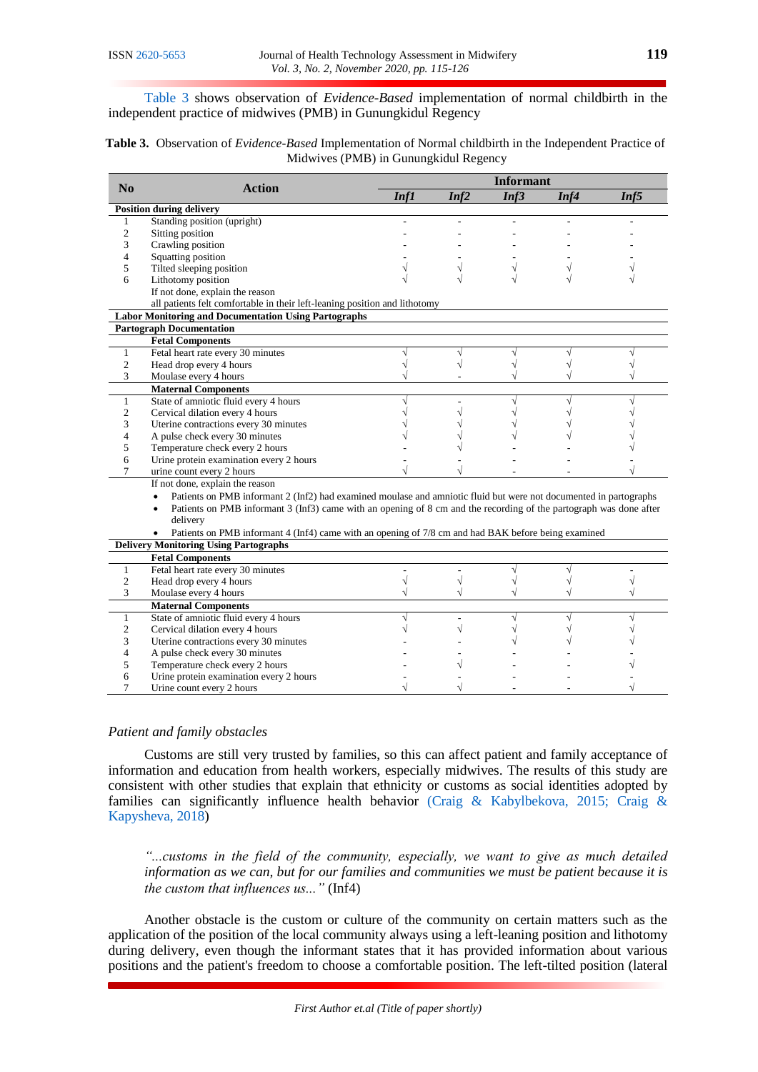[Table 3](#page-4-0) shows observation of *Evidence-Based* implementation of normal childbirth in the independent practice of midwives (PMB) in Gunungkidul Regency

<span id="page-4-0"></span>**Table 3.** Observation of *Evidence-Based* Implementation of Normal childbirth in the Independent Practice of Midwives (PMB) in Gunungkidul Regency

|                        |                                                                                                                                |      | <b>Informant</b> |      |      |      |  |
|------------------------|--------------------------------------------------------------------------------------------------------------------------------|------|------------------|------|------|------|--|
| $\mathbf{N}\mathbf{0}$ | <b>Action</b>                                                                                                                  | Inf1 | Inf2             | Inf3 | Inf4 | Inf5 |  |
|                        | <b>Position during delivery</b>                                                                                                |      |                  |      |      |      |  |
| 1                      | Standing position (upright)                                                                                                    |      |                  |      |      |      |  |
| 2                      | Sitting position                                                                                                               |      |                  |      |      |      |  |
| 3                      | Crawling position                                                                                                              |      |                  |      |      |      |  |
| 4                      | Squatting position                                                                                                             |      |                  |      |      |      |  |
| 5                      | Tilted sleeping position                                                                                                       |      |                  |      |      |      |  |
| 6                      | Lithotomy position                                                                                                             |      |                  |      |      |      |  |
|                        | If not done, explain the reason                                                                                                |      |                  |      |      |      |  |
|                        | all patients felt comfortable in their left-leaning position and lithotomy                                                     |      |                  |      |      |      |  |
|                        | <b>Labor Monitoring and Documentation Using Partographs</b>                                                                    |      |                  |      |      |      |  |
|                        | <b>Partograph Documentation</b>                                                                                                |      |                  |      |      |      |  |
|                        | <b>Fetal Components</b>                                                                                                        |      |                  |      |      |      |  |
| $\mathbf{1}$           | Fetal heart rate every 30 minutes                                                                                              |      |                  |      |      |      |  |
| $\overline{2}$         | Head drop every 4 hours                                                                                                        |      |                  |      |      |      |  |
| 3                      | Moulase every 4 hours                                                                                                          |      |                  |      |      |      |  |
|                        | <b>Maternal Components</b>                                                                                                     |      |                  |      |      |      |  |
| $\mathbf{1}$           | State of amniotic fluid every 4 hours                                                                                          |      |                  |      |      |      |  |
| $\overline{c}$         | Cervical dilation every 4 hours                                                                                                |      |                  |      |      |      |  |
| 3                      | Uterine contractions every 30 minutes                                                                                          |      |                  |      |      |      |  |
| 4                      | A pulse check every 30 minutes                                                                                                 |      |                  |      |      |      |  |
| 5                      | Temperature check every 2 hours                                                                                                |      |                  |      |      |      |  |
| 6                      | Urine protein examination every 2 hours                                                                                        |      |                  |      |      |      |  |
| 7                      | urine count every 2 hours                                                                                                      |      |                  |      |      |      |  |
|                        | If not done, explain the reason                                                                                                |      |                  |      |      |      |  |
|                        | Patients on PMB informant 2 (Inf2) had examined moulase and amniotic fluid but were not documented in partographs<br>$\bullet$ |      |                  |      |      |      |  |
|                        | Patients on PMB informant 3 (Inf3) came with an opening of 8 cm and the recording of the partograph was done after             |      |                  |      |      |      |  |
|                        | delivery                                                                                                                       |      |                  |      |      |      |  |
|                        | Patients on PMB informant 4 (Inf4) came with an opening of 7/8 cm and had BAK before being examined                            |      |                  |      |      |      |  |
|                        | <b>Delivery Monitoring Using Partographs</b>                                                                                   |      |                  |      |      |      |  |
|                        | <b>Fetal Components</b>                                                                                                        |      |                  |      |      |      |  |
| 1                      | Fetal heart rate every 30 minutes                                                                                              |      |                  |      |      |      |  |
| $\overline{2}$         | Head drop every 4 hours                                                                                                        |      |                  |      |      |      |  |
| 3                      | Moulase every 4 hours                                                                                                          |      |                  |      |      |      |  |
|                        | <b>Maternal Components</b>                                                                                                     |      |                  |      |      |      |  |
| $\mathbf{1}$           | State of amniotic fluid every 4 hours                                                                                          |      |                  |      |      |      |  |
| $\overline{c}$         | Cervical dilation every 4 hours                                                                                                |      |                  |      |      |      |  |
| 3                      | Uterine contractions every 30 minutes                                                                                          |      |                  |      |      |      |  |
| 4                      | A pulse check every 30 minutes                                                                                                 |      |                  |      |      |      |  |
| 5                      | Temperature check every 2 hours                                                                                                |      |                  |      |      |      |  |
| 6                      | Urine protein examination every 2 hours                                                                                        |      |                  |      |      |      |  |
| 7                      | Urine count every 2 hours                                                                                                      |      |                  |      |      |      |  |

## *Patient and family obstacles*

Customs are still very trusted by families, so this can affect patient and family acceptance of information and education from health workers, especially midwives. The results of this study are consistent with other studies that explain that ethnicity or customs as social identities adopted by families can significantly influence health behavior (Craig & Kabylbekova, 2015; Craig & [Kapysheva, 2018\)](#page-10-6)

*"...customs in the field of the community, especially, we want to give as much detailed information as we can, but for our families and communities we must be patient because it is the custom that influences us..."* (Inf4)

Another obstacle is the custom or culture of the community on certain matters such as the application of the position of the local community always using a left-leaning position and lithotomy during delivery, even though the informant states that it has provided information about various positions and the patient's freedom to choose a comfortable position. The left-tilted position (lateral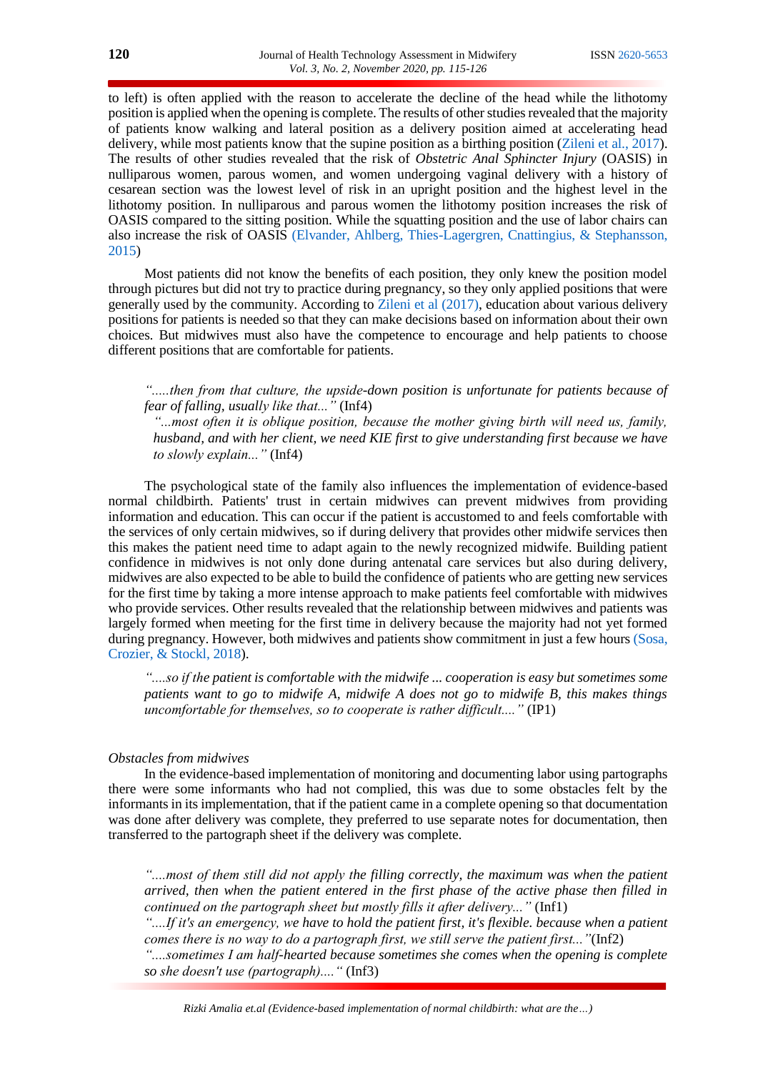to left) is often applied with the reason to accelerate the decline of the head while the lithotomy position is applied when the opening is complete. The results of other studies revealed that the majority of patients know walking and lateral position as a delivery position aimed at accelerating head delivery, while most patients know that the supine position as a birthing position [\(Zileni et al., 2017\)](#page-11-2). The results of other studies revealed that the risk of *Obstetric Anal Sphincter Injury* (OASIS) in nulliparous women, parous women, and women undergoing vaginal delivery with a history of cesarean section was the lowest level of risk in an upright position and the highest level in the lithotomy position. In nulliparous and parous women the lithotomy position increases the risk of OASIS compared to the sitting position. While the squatting position and the use of labor chairs can also increase the risk of OASIS [\(Elvander, Ahlberg, Thies-Lagergren, Cnattingius, & Stephansson,](#page-10-7)  [2015\)](#page-10-7)

Most patients did not know the benefits of each position, they only knew the position model through pictures but did not try to practice during pregnancy, so they only applied positions that were generally used by the community. According to [Zileni et al \(2017\),](#page-11-2) education about various delivery positions for patients is needed so that they can make decisions based on information about their own choices. But midwives must also have the competence to encourage and help patients to choose different positions that are comfortable for patients.

*".....then from that culture, the upside-down position is unfortunate for patients because of fear of falling, usually like that..."* (Inf4)

*"...most often it is oblique position, because the mother giving birth will need us, family, husband, and with her client, we need KIE first to give understanding first because we have to slowly explain..."* (Inf4)

The psychological state of the family also influences the implementation of evidence-based normal childbirth. Patients' trust in certain midwives can prevent midwives from providing information and education. This can occur if the patient is accustomed to and feels comfortable with the services of only certain midwives, so if during delivery that provides other midwife services then this makes the patient need time to adapt again to the newly recognized midwife. Building patient confidence in midwives is not only done during antenatal care services but also during delivery, midwives are also expected to be able to build the confidence of patients who are getting new services for the first time by taking a more intense approach to make patients feel comfortable with midwives who provide services. Other results revealed that the relationship between midwives and patients was largely formed when meeting for the first time in delivery because the majority had not yet formed during pregnancy. However, both midwives and patients show commitment in just a few hours [\(Sosa,](#page-11-3)  [Crozier, & Stockl, 2018\)](#page-11-3).

*"....so if the patient is comfortable with the midwife ... cooperation is easy but sometimes some patients want to go to midwife A, midwife A does not go to midwife B, this makes things uncomfortable for themselves, so to cooperate is rather difficult...."* (IP1)

## *Obstacles from midwives*

In the evidence-based implementation of monitoring and documenting labor using partographs there were some informants who had not complied, this was due to some obstacles felt by the informants in its implementation, that if the patient came in a complete opening so that documentation was done after delivery was complete, they preferred to use separate notes for documentation, then transferred to the partograph sheet if the delivery was complete.

*"....most of them still did not apply the filling correctly, the maximum was when the patient arrived, then when the patient entered in the first phase of the active phase then filled in continued on the partograph sheet but mostly fills it after delivery..."* (Inf1)

*"....If it's an emergency, we have to hold the patient first, it's flexible. because when a patient comes there is no way to do a partograph first, we still serve the patient first..."*(Inf2)

*"....sometimes I am half-hearted because sometimes she comes when the opening is complete so she doesn't use (partograph)...."* (Inf3)

*Rizki Amalia et.al (Evidence-based implementation of normal childbirth: what are the…)*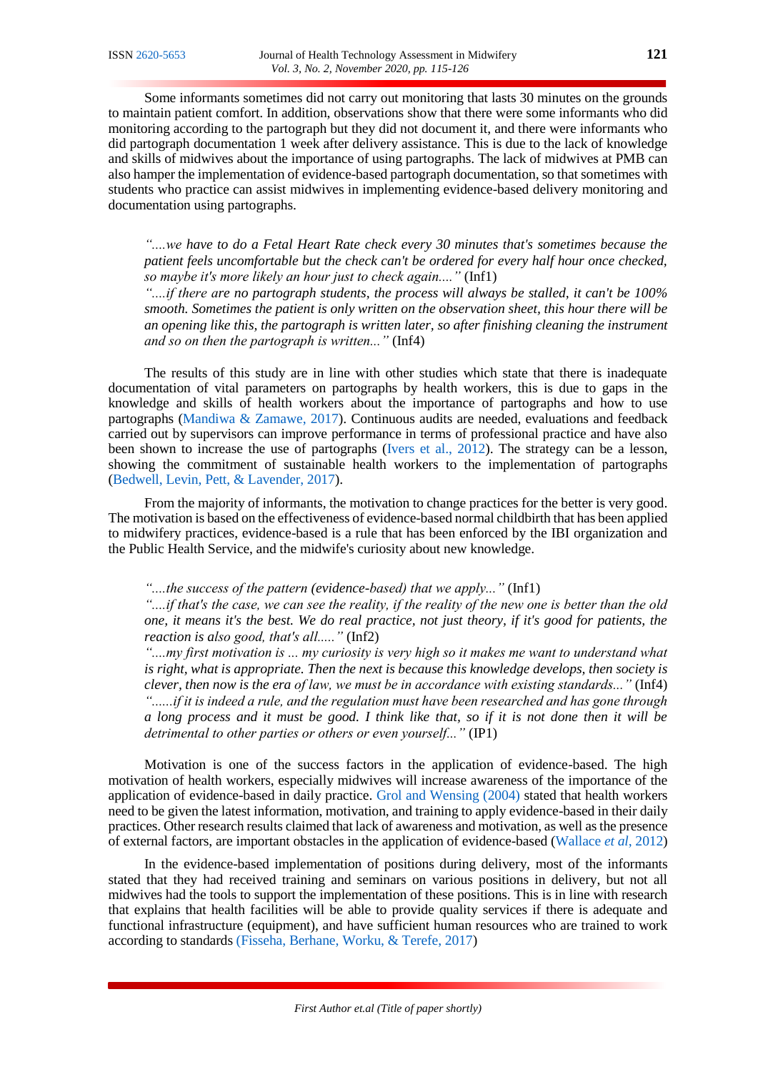Some informants sometimes did not carry out monitoring that lasts 30 minutes on the grounds to maintain patient comfort. In addition, observations show that there were some informants who did monitoring according to the partograph but they did not document it, and there were informants who did partograph documentation 1 week after delivery assistance. This is due to the lack of knowledge and skills of midwives about the importance of using partographs. The lack of midwives at PMB can also hamper the implementation of evidence-based partograph documentation, so that sometimes with students who practice can assist midwives in implementing evidence-based delivery monitoring and documentation using partographs.

*"....we have to do a Fetal Heart Rate check every 30 minutes that's sometimes because the patient feels uncomfortable but the check can't be ordered for every half hour once checked, so maybe it's more likely an hour just to check again...."* (Inf1)

*"....if there are no partograph students, the process will always be stalled, it can't be 100% smooth. Sometimes the patient is only written on the observation sheet, this hour there will be an opening like this, the partograph is written later, so after finishing cleaning the instrument and so on then the partograph is written..."* (Inf4)

The results of this study are in line with other studies which state that there is inadequate documentation of vital parameters on partographs by health workers, this is due to gaps in the knowledge and skills of health workers about the importance of partographs and how to use partographs [\(Mandiwa & Zamawe, 2017\)](#page-10-8). Continuous audits are needed, evaluations and feedback carried out by supervisors can improve performance in terms of professional practice and have also been shown to increase the use of partographs [\(Ivers et al., 2012\)](#page-10-9). The strategy can be a lesson, showing the commitment of sustainable health workers to the implementation of partographs [\(Bedwell, Levin, Pett, & Lavender, 2017\)](#page-9-2).

From the majority of informants, the motivation to change practices for the better is very good. The motivation is based on the effectiveness of evidence-based normal childbirth that has been applied to midwifery practices, evidence-based is a rule that has been enforced by the IBI organization and the Public Health Service, and the midwife's curiosity about new knowledge.

*"....the success of the pattern (evidence-based) that we apply..."* (Inf1)

*"....if that's the case, we can see the reality, if the reality of the new one is better than the old one, it means it's the best. We do real practice, not just theory, if it's good for patients, the reaction is also good, that's all....."* (Inf2)

*"....my first motivation is ... my curiosity is very high so it makes me want to understand what is right, what is appropriate. Then the next is because this knowledge develops, then society is clever, then now is the era of law, we must be in accordance with existing standards..."* (Inf4) *"......if it is indeed a rule, and the regulation must have been researched and has gone through a long process and it must be good. I think like that, so if it is not done then it will be detrimental to other parties or others or even yourself..."* (IP1)

Motivation is one of the success factors in the application of evidence-based. The high motivation of health workers, especially midwives will increase awareness of the importance of the application of evidence-based in daily practice. [Grol and Wensing \(2004\)](#page-10-1) stated that health workers need to be given the latest information, motivation, and training to apply evidence-based in their daily practices. Other research results claimed that lack of awareness and motivation, as well as the presence of external factors, are important obstacles in the application of evidence-based [\(Wallace](#page-11-4) *et al*, 2012)

In the evidence-based implementation of positions during delivery, most of the informants stated that they had received training and seminars on various positions in delivery, but not all midwives had the tools to support the implementation of these positions. This is in line with research that explains that health facilities will be able to provide quality services if there is adequate and functional infrastructure (equipment), and have sufficient human resources who are trained to work according to standards [\(Fisseha, Berhane, Worku, & Terefe, 2017\)](#page-10-10)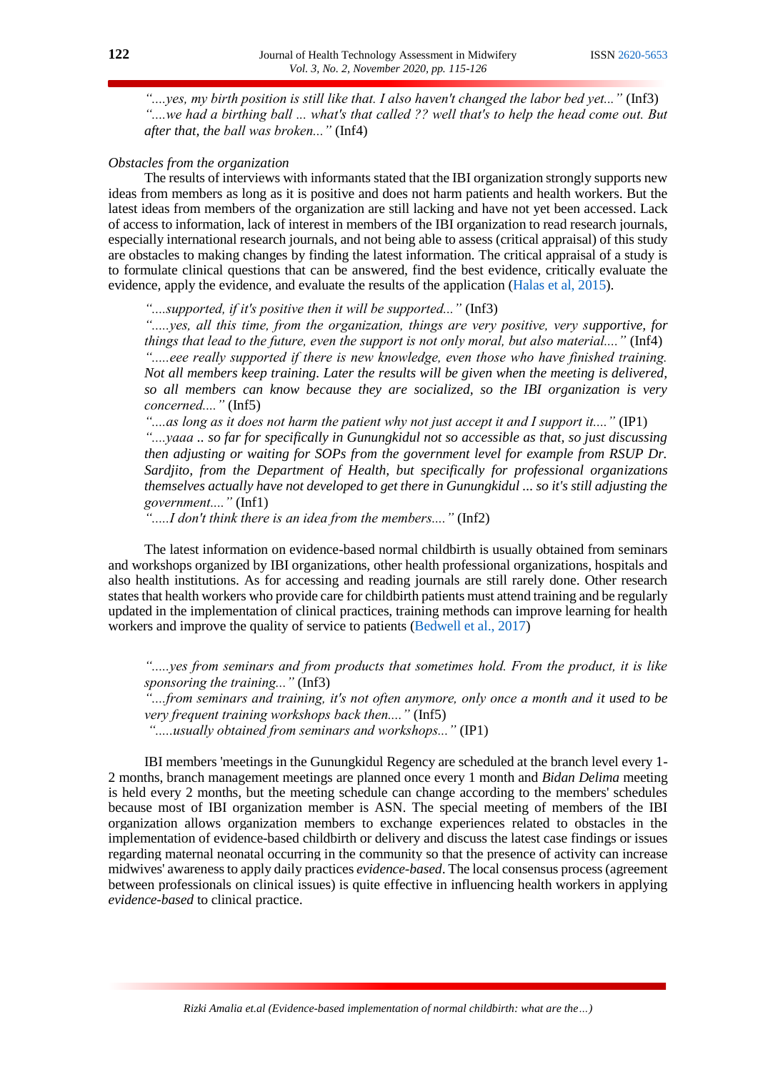*"....yes, my birth position is still like that. I also haven't changed the labor bed yet..."* (Inf3) *"....we had a birthing ball ... what's that called ?? well that's to help the head come out. But after that, the ball was broken..."* (Inf4)

## *Obstacles from the organization*

The results of interviews with informants stated that the IBI organization strongly supports new ideas from members as long as it is positive and does not harm patients and health workers. But the latest ideas from members of the organization are still lacking and have not yet been accessed. Lack of access to information, lack of interest in members of the IBI organization to read research journals, especially international research journals, and not being able to assess (critical appraisal) of this study are obstacles to making changes by finding the latest information. The critical appraisal of a study is to formulate clinical questions that can be answered, find the best evidence, critically evaluate the evidence, apply the evidence, and evaluate the results of the application [\(Halas et al, 2015\)](#page-10-11).

*"....supported, if it's positive then it will be supported..."* (Inf3)

*".....yes, all this time, from the organization, things are very positive, very supportive, for things that lead to the future, even the support is not only moral, but also material...."* (Inf4) *".....eee really supported if there is new knowledge, even those who have finished training. Not all members keep training. Later the results will be given when the meeting is delivered, so all members can know because they are socialized, so the IBI organization is very concerned...."* (Inf5)

*"....as long as it does not harm the patient why not just accept it and I support it...."* (IP1) *"....yaaa .. so far for specifically in Gunungkidul not so accessible as that, so just discussing then adjusting or waiting for SOPs from the government level for example from RSUP Dr. Sardjito, from the Department of Health, but specifically for professional organizations themselves actually have not developed to get there in Gunungkidul ... so it's still adjusting the government...."* (Inf1)

*".....I don't think there is an idea from the members...."* (Inf2)

The latest information on evidence-based normal childbirth is usually obtained from seminars and workshops organized by IBI organizations, other health professional organizations, hospitals and also health institutions. As for accessing and reading journals are still rarely done. Other research states that health workers who provide care for childbirth patients must attend training and be regularly updated in the implementation of clinical practices, training methods can improve learning for health workers and improve the quality of service to patients [\(Bedwell et al., 2017\)](#page-9-2)

*".....yes from seminars and from products that sometimes hold. From the product, it is like sponsoring the training..."* (Inf3)

*"....from seminars and training, it's not often anymore, only once a month and it used to be very frequent training workshops back then...."* (Inf5)

*".....usually obtained from seminars and workshops..."* (IP1)

IBI members 'meetings in the Gunungkidul Regency are scheduled at the branch level every 1- 2 months, branch management meetings are planned once every 1 month and *Bidan Delima* meeting is held every 2 months, but the meeting schedule can change according to the members' schedules because most of IBI organization member is ASN. The special meeting of members of the IBI organization allows organization members to exchange experiences related to obstacles in the implementation of evidence-based childbirth or delivery and discuss the latest case findings or issues regarding maternal neonatal occurring in the community so that the presence of activity can increase midwives' awareness to apply daily practices *evidence-based*. The local consensus process (agreement between professionals on clinical issues) is quite effective in influencing health workers in applying *evidence-based* to clinical practice.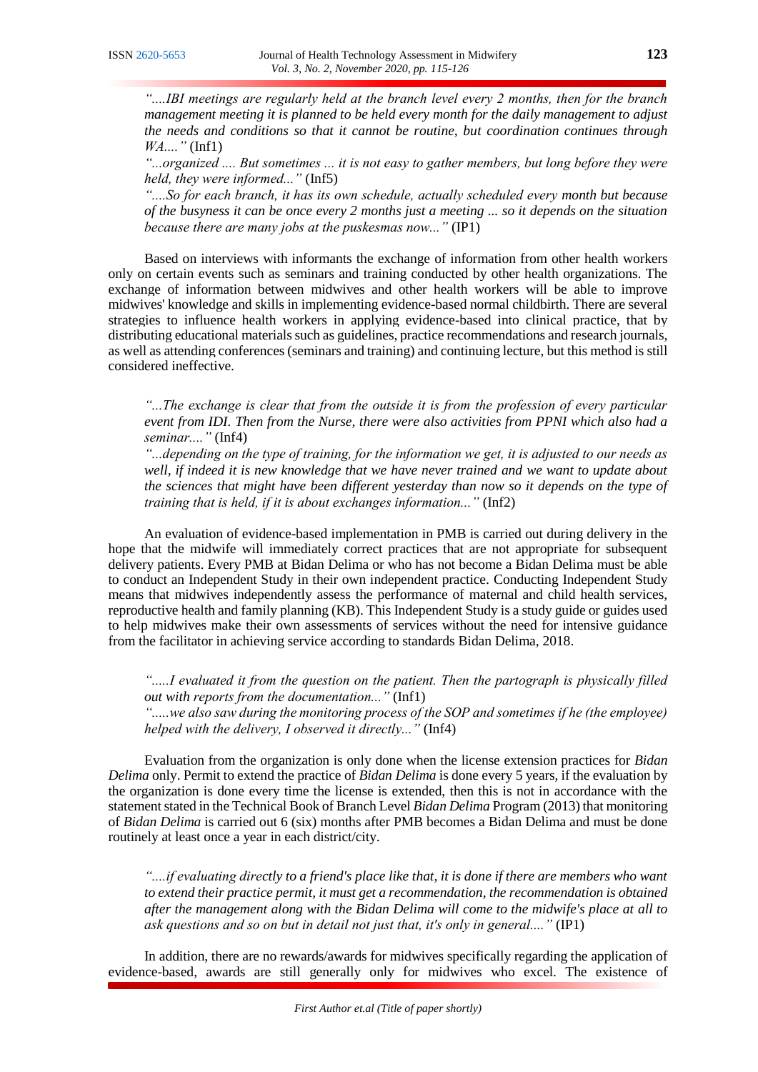*"....IBI meetings are regularly held at the branch level every 2 months, then for the branch management meeting it is planned to be held every month for the daily management to adjust the needs and conditions so that it cannot be routine, but coordination continues through WA...."* (Inf1)

*"...organized .... But sometimes ... it is not easy to gather members, but long before they were held, they were informed..."* (Inf5)

*"....So for each branch, it has its own schedule, actually scheduled every month but because of the busyness it can be once every 2 months just a meeting ... so it depends on the situation because there are many jobs at the puskesmas now..."* (IP1)

Based on interviews with informants the exchange of information from other health workers only on certain events such as seminars and training conducted by other health organizations. The exchange of information between midwives and other health workers will be able to improve midwives' knowledge and skills in implementing evidence-based normal childbirth. There are several strategies to influence health workers in applying evidence-based into clinical practice, that by distributing educational materials such as guidelines, practice recommendations and research journals, as well as attending conferences (seminars and training) and continuing lecture, but this method is still considered ineffective.

*"...The exchange is clear that from the outside it is from the profession of every particular event from IDI. Then from the Nurse, there were also activities from PPNI which also had a seminar...."* (Inf4)

*"...depending on the type of training, for the information we get, it is adjusted to our needs as well, if indeed it is new knowledge that we have never trained and we want to update about the sciences that might have been different yesterday than now so it depends on the type of training that is held, if it is about exchanges information..."* (Inf2)

An evaluation of evidence-based implementation in PMB is carried out during delivery in the hope that the midwife will immediately correct practices that are not appropriate for subsequent delivery patients. Every PMB at Bidan Delima or who has not become a Bidan Delima must be able to conduct an Independent Study in their own independent practice. Conducting Independent Study means that midwives independently assess the performance of maternal and child health services, reproductive health and family planning (KB). This Independent Study is a study guide or guides used to help midwives make their own assessments of services without the need for intensive guidance from the facilitator in achieving service according to standards Bidan Delima, 2018.

*".....I evaluated it from the question on the patient. Then the partograph is physically filled out with reports from the documentation..."* (Inf1) *".....we also saw during the monitoring process of the SOP and sometimes if he (the employee) helped with the delivery, I observed it directly..."* (Inf4)

Evaluation from the organization is only done when the license extension practices for *Bidan Delima* only. Permit to extend the practice of *Bidan Delima* is done every 5 years, if the evaluation by the organization is done every time the license is extended, then this is not in accordance with the statement stated in the Technical Book of Branch Level *Bidan Delima* Program (2013) that monitoring of *Bidan Delima* is carried out 6 (six) months after PMB becomes a Bidan Delima and must be done routinely at least once a year in each district/city.

*"....if evaluating directly to a friend's place like that, it is done if there are members who want to extend their practice permit, it must get a recommendation, the recommendation is obtained after the management along with the Bidan Delima will come to the midwife's place at all to ask questions and so on but in detail not just that, it's only in general...."* (IP1)

In addition, there are no rewards/awards for midwives specifically regarding the application of evidence-based, awards are still generally only for midwives who excel. The existence of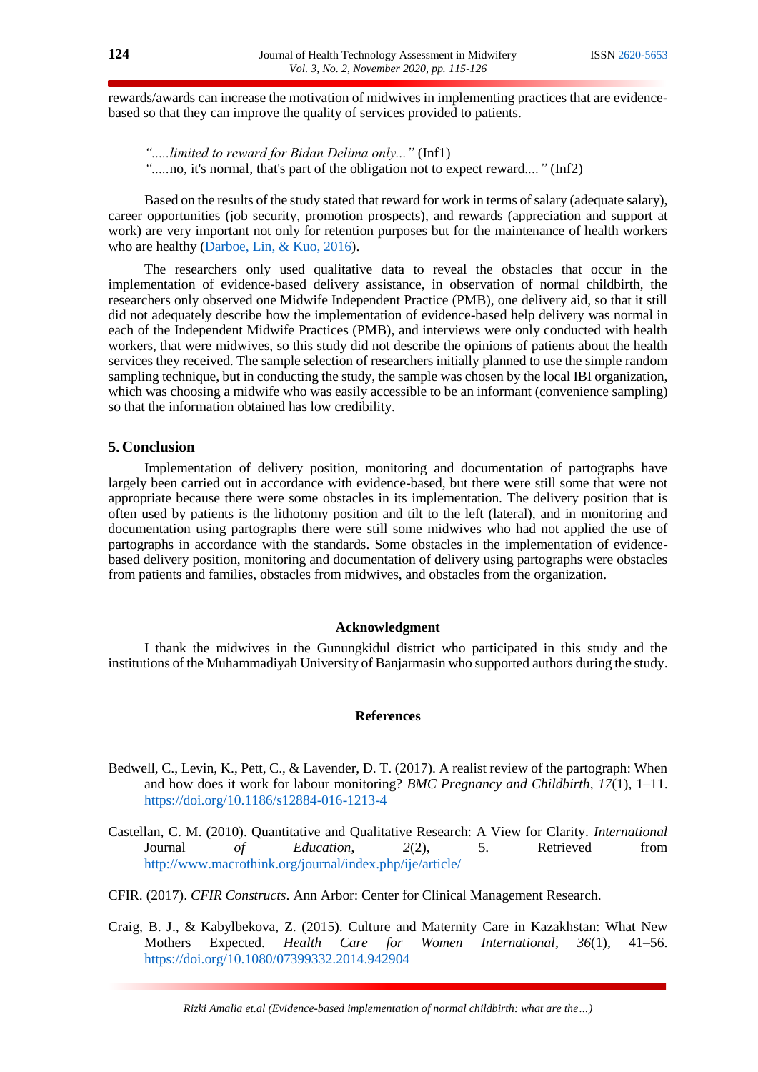rewards/awards can increase the motivation of midwives in implementing practices that are evidencebased so that they can improve the quality of services provided to patients.

*".....limited to reward for Bidan Delima only..."* (Inf1) *".....*no, it's normal, that's part of the obligation not to expect reward*...."* (Inf2)

Based on the results of the study stated that reward for work in terms of salary (adequate salary), career opportunities (job security, promotion prospects), and rewards (appreciation and support at work) are very important not only for retention purposes but for the maintenance of health workers who are healthy [\(Darboe, Lin, & Kuo, 2016\)](#page-10-12).

The researchers only used qualitative data to reveal the obstacles that occur in the implementation of evidence-based delivery assistance, in observation of normal childbirth, the researchers only observed one Midwife Independent Practice (PMB), one delivery aid, so that it still did not adequately describe how the implementation of evidence-based help delivery was normal in each of the Independent Midwife Practices (PMB), and interviews were only conducted with health workers, that were midwives, so this study did not describe the opinions of patients about the health services they received. The sample selection of researchers initially planned to use the simple random sampling technique, but in conducting the study, the sample was chosen by the local IBI organization, which was choosing a midwife who was easily accessible to be an informant (convenience sampling) so that the information obtained has low credibility.

## **5. Conclusion**

Implementation of delivery position, monitoring and documentation of partographs have largely been carried out in accordance with evidence-based, but there were still some that were not appropriate because there were some obstacles in its implementation. The delivery position that is often used by patients is the lithotomy position and tilt to the left (lateral), and in monitoring and documentation using partographs there were still some midwives who had not applied the use of partographs in accordance with the standards. Some obstacles in the implementation of evidencebased delivery position, monitoring and documentation of delivery using partographs were obstacles from patients and families, obstacles from midwives, and obstacles from the organization.

### **Acknowledgment**

I thank the midwives in the Gunungkidul district who participated in this study and the institutions of the Muhammadiyah University of Banjarmasin who supported authors during the study.

## **References**

- <span id="page-9-2"></span>Bedwell, C., Levin, K., Pett, C., & Lavender, D. T. (2017). A realist review of the partograph: When and how does it work for labour monitoring? *BMC Pregnancy and Childbirth*, *17*(1), 1–11. <https://doi.org/10.1186/s12884-016-1213-4>
- <span id="page-9-1"></span>Castellan, C. M. (2010). Quantitative and Qualitative Research: A View for Clarity. *International*  Journal *of Education*, *2*(2), 5. Retrieved from <http://www.macrothink.org/journal/index.php/ije/article/>

<span id="page-9-0"></span>CFIR. (2017). *CFIR Constructs*. Ann Arbor: Center for Clinical Management Research.

Craig, B. J., & Kabylbekova, Z. (2015). Culture and Maternity Care in Kazakhstan: What New Mothers Expected. *Health Care for Women International*, *36*(1), 41–56. <https://doi.org/10.1080/07399332.2014.942904>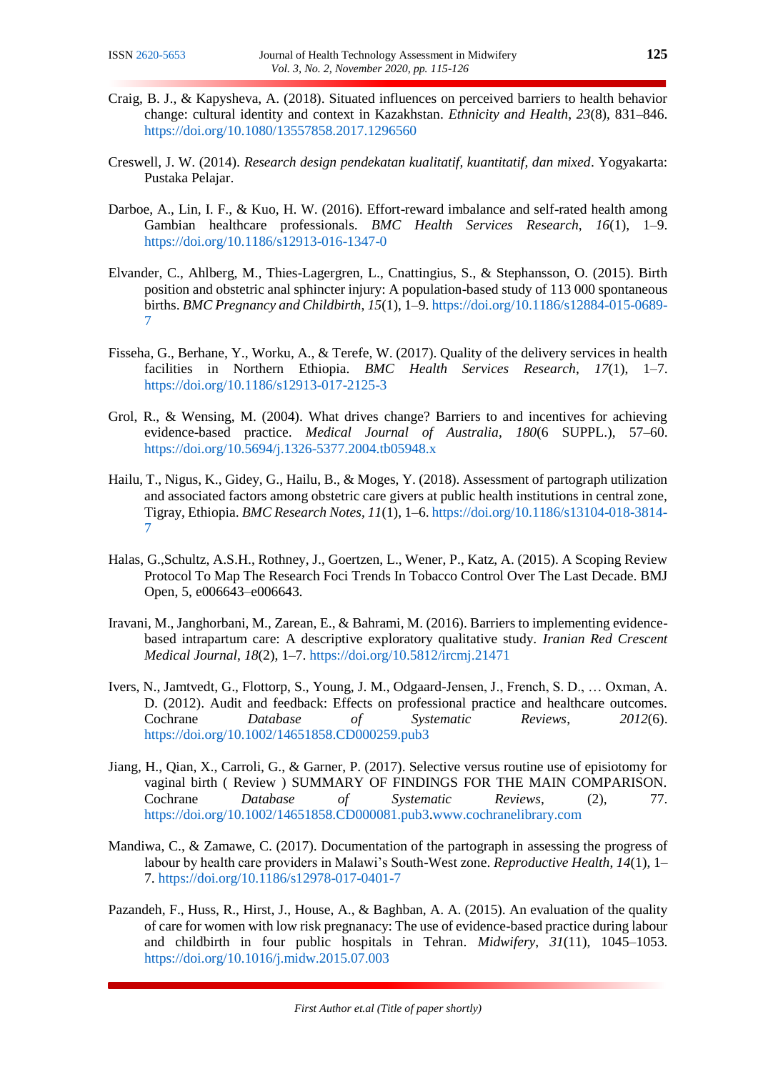- <span id="page-10-6"></span>Craig, B. J., & Kapysheva, A. (2018). Situated influences on perceived barriers to health behavior change: cultural identity and context in Kazakhstan. *Ethnicity and Health*, *23*(8), 831–846. <https://doi.org/10.1080/13557858.2017.1296560>
- <span id="page-10-5"></span>Creswell, J. W. (2014). *Research design pendekatan kualitatif, kuantitatif, dan mixed*. Yogyakarta: Pustaka Pelajar.
- <span id="page-10-12"></span>Darboe, A., Lin, I. F., & Kuo, H. W. (2016). Effort-reward imbalance and self-rated health among Gambian healthcare professionals. *BMC Health Services Research*, *16*(1), 1–9. <https://doi.org/10.1186/s12913-016-1347-0>
- <span id="page-10-7"></span>Elvander, C., Ahlberg, M., Thies-Lagergren, L., Cnattingius, S., & Stephansson, O. (2015). Birth position and obstetric anal sphincter injury: A population-based study of 113 000 spontaneous births. *BMC Pregnancy and Childbirth*, *15*(1), 1–9[. https://doi.org/10.1186/s12884-015-0689-](https://doi.org/10.1186/s12884-015-0689-7) [7](https://doi.org/10.1186/s12884-015-0689-7)
- <span id="page-10-10"></span>Fisseha, G., Berhane, Y., Worku, A., & Terefe, W. (2017). Quality of the delivery services in health facilities in Northern Ethiopia. *BMC Health Services Research*, *17*(1), 1–7. <https://doi.org/10.1186/s12913-017-2125-3>
- <span id="page-10-1"></span>Grol, R., & Wensing, M. (2004). What drives change? Barriers to and incentives for achieving evidence-based practice. *Medical Journal of Australia*, *180*(6 SUPPL.), 57–60. <https://doi.org/10.5694/j.1326-5377.2004.tb05948.x>
- <span id="page-10-2"></span>Hailu, T., Nigus, K., Gidey, G., Hailu, B., & Moges, Y. (2018). Assessment of partograph utilization and associated factors among obstetric care givers at public health institutions in central zone, Tigray, Ethiopia. *BMC Research Notes*, *11*(1), 1–6[. https://doi.org/10.1186/s13104-018-3814-](https://doi.org/10.1186/s13104-018-3814-7) [7](https://doi.org/10.1186/s13104-018-3814-7)
- <span id="page-10-11"></span>Halas, G.,Schultz, A.S.H., Rothney, J., Goertzen, L., Wener, P., Katz, A. (2015). A Scoping Review Protocol To Map The Research Foci Trends In Tobacco Control Over The Last Decade. BMJ Open, 5, e006643–e006643.
- <span id="page-10-0"></span>Iravani, M., Janghorbani, M., Zarean, E., & Bahrami, M. (2016). Barriers to implementing evidencebased intrapartum care: A descriptive exploratory qualitative study. *Iranian Red Crescent Medical Journal*, *18*(2), 1–7.<https://doi.org/10.5812/ircmj.21471>
- <span id="page-10-9"></span>Ivers, N., Jamtvedt, G., Flottorp, S., Young, J. M., Odgaard-Jensen, J., French, S. D., … Oxman, A. D. (2012). Audit and feedback: Effects on professional practice and healthcare outcomes. Cochrane *Database of Systematic Reviews*, *2012*(6). <https://doi.org/10.1002/14651858.CD000259.pub3>
- <span id="page-10-4"></span>Jiang, H., Qian, X., Carroli, G., & Garner, P. (2017). Selective versus routine use of episiotomy for vaginal birth ( Review ) SUMMARY OF FINDINGS FOR THE MAIN COMPARISON. Cochrane *Database of Systematic Reviews*, (2), 77. <https://doi.org/10.1002/14651858.CD000081.pub3>[.www.cochranelibrary.com](www.cochranelibrary.com)
- <span id="page-10-8"></span>Mandiwa, C., & Zamawe, C. (2017). Documentation of the partograph in assessing the progress of labour by health care providers in Malawi's South-West zone. *Reproductive Health*, *14*(1), 1– 7. <https://doi.org/10.1186/s12978-017-0401-7>
- <span id="page-10-3"></span>Pazandeh, F., Huss, R., Hirst, J., House, A., & Baghban, A. A. (2015). An evaluation of the quality of care for women with low risk pregnanacy: The use of evidence-based practice during labour and childbirth in four public hospitals in Tehran. *Midwifery*, *31*(11), 1045–1053. <https://doi.org/10.1016/j.midw.2015.07.003>

*First Author et.al (Title of paper shortly)*